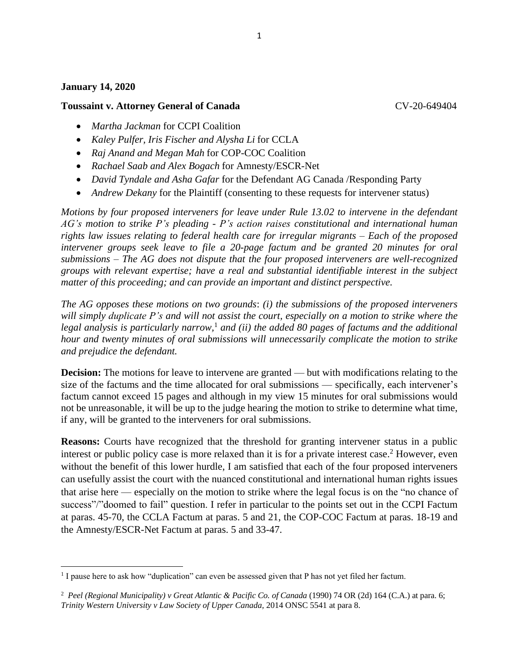## **January 14, 2020**

## **Toussaint v. Attorney General of Canada** CV-20-649404

- *Martha Jackman* for CCPI Coalition
- *Kaley Pulfer, Iris Fischer and Alysha Li* for CCLA
- *Raj Anand and Megan Mah* for COP-COC Coalition
- *Rachael Saab and Alex Bogach* for Amnesty/ESCR-Net
- *David Tyndale and Asha Gafar* for the Defendant AG Canada /Responding Party
- *Andrew Dekany* for the Plaintiff (consenting to these requests for intervener status)

*Motions by four proposed interveners for leave under Rule 13.02 to intervene in the defendant AG's motion to strike P's pleading - P's action raises constitutional and international human rights law issues relating to federal health care for irregular migrants – Each of the proposed intervener groups seek leave to file a 20-page factum and be granted 20 minutes for oral submissions – The AG does not dispute that the four proposed interveners are well-recognized groups with relevant expertise; have a real and substantial identifiable interest in the subject matter of this proceeding; and can provide an important and distinct perspective.*

*The AG opposes these motions on two grounds*: *(i) the submissions of the proposed interveners will simply duplicate P's and will not assist the court, especially on a motion to strike where the legal analysis is particularly narrow,* <sup>1</sup> *and (ii) the added 80 pages of factums and the additional hour and twenty minutes of oral submissions will unnecessarily complicate the motion to strike and prejudice the defendant.*

**Decision:** The motions for leave to intervene are granted — but with modifications relating to the size of the factums and the time allocated for oral submissions — specifically, each intervener's factum cannot exceed 15 pages and although in my view 15 minutes for oral submissions would not be unreasonable, it will be up to the judge hearing the motion to strike to determine what time, if any, will be granted to the interveners for oral submissions.

**Reasons:** Courts have recognized that the threshold for granting intervener status in a public interest or public policy case is more relaxed than it is for a private interest case.<sup>2</sup> However, even without the benefit of this lower hurdle, I am satisfied that each of the four proposed interveners can usefully assist the court with the nuanced constitutional and international human rights issues that arise here — especially on the motion to strike where the legal focus is on the "no chance of success"/"doomed to fail" question. I refer in particular to the points set out in the CCPI Factum at paras. 45-70, the CCLA Factum at paras. 5 and 21, the COP-COC Factum at paras. 18-19 and the Amnesty/ESCR-Net Factum at paras. 5 and 33-47.

1

<sup>&</sup>lt;sup>1</sup> I pause here to ask how "duplication" can even be assessed given that P has not yet filed her factum.

<sup>&</sup>lt;sup>2</sup> [Peel \(Regional Municipality\) v Great Atlantic & Pacific Co. of Canada](about:blank#crsw_paragraph_num_6) (1990) 74 OR (2d) 164 (C.A.) at para. 6; *[Trinity Western University v Law Society of Upper Canada,](about:blank)* 2014 ONSC 5541 at para 8.